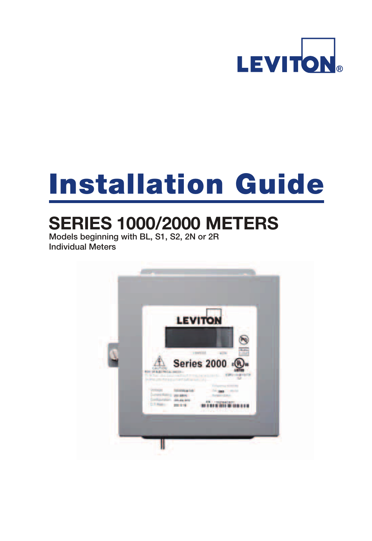

# Installation Guide

# **SERIES 1000/2000 METERS**

Models beginning with BL, S1, S2, 2N or 2R Individual Meters

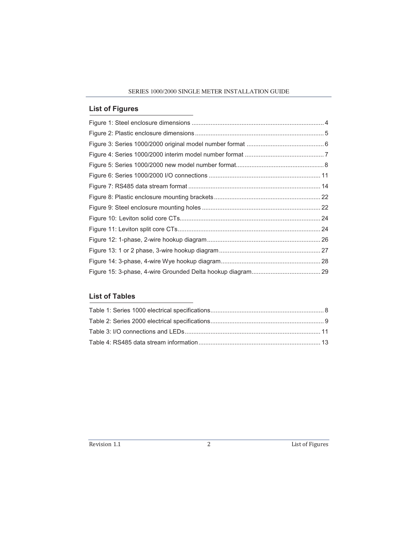#### **List of Figures**

### **List of Tables**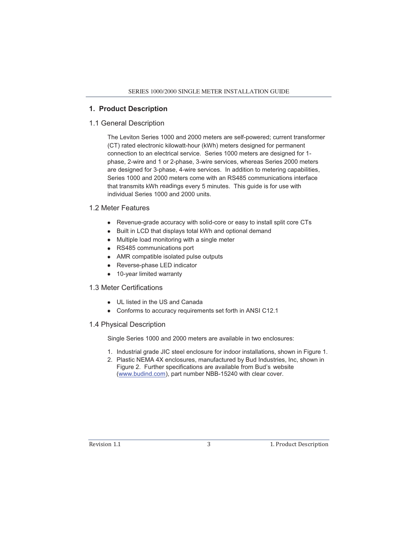#### **1. Product Description**

#### 1.1 General Description

The Leviton Series 1000 and 2000 meters are self-powered; current transformer (CT) rated electronic kilowatt-hour (kWh) meters designed for permanent connection to an electrical service. Series 1000 meters are designed for 1 phase, 2-wire and 1 or 2-phase, 3-wire services, whereas Series 2000 meters are designed for 3-phase, 4-wire services. In addition to metering capabilities, Series 1000 and 2000 meters come with an RS485 communications interface that transmits kWh readings every 5 minutes. This guide is for use with individual Series 1000 and 2000 units.

#### 1.2 Meter Features

- Revenue-grade accuracy with solid-core or easy to install split core CTs
- Built in LCD that displays total kWh and optional demand
- Multiple load monitoring with a single meter
- RS485 communications port
- AMR compatible isolated pulse outputs
- Reverse-phase LED indicator
- 10-year limited warranty

#### 1.3 Meter Certifications

- UL listed in the US and Canada
- Conforms to accuracy requirements set forth in ANSI C12.1

#### 1.4 Physical Description

Single Series 1000 and 2000 meters are available in two enclosures:

- 1. Industrial grade JIC steel enclosure for indoor installations, shown in Figure 1.
- 2. Plastic NEMA 4X enclosures, manufactured by Bud Industries, Inc, shown in Figure 2. Further specifications are available from Bud's website (www.budind.com), part number NBB-15240 with clear cover.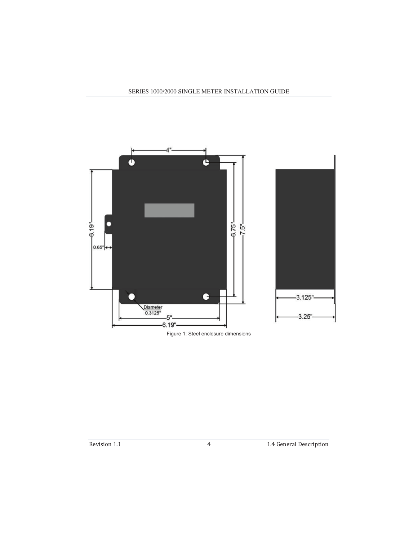

Figure 1: Steel enclosure dimensions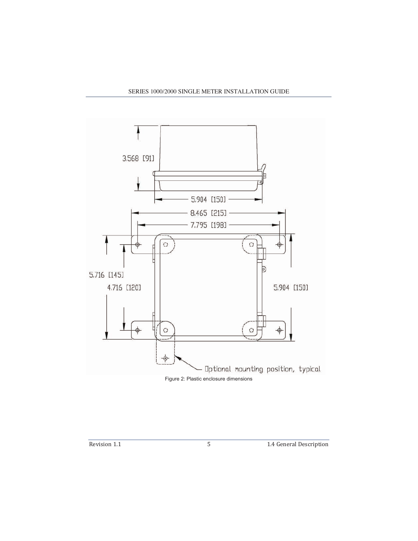

Figure 2: Plastic enclosure dimensions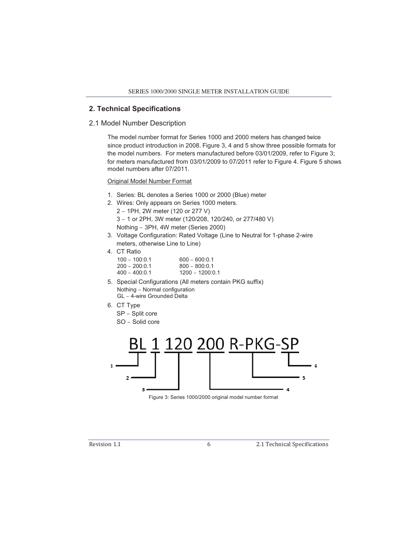#### **2. Technical Specifications**

#### 2.1 Model Number Description

The model number format for Series 1000 and 2000 meters has changed twice since product introduction in 2008. Figure 3, 4 and 5 show three possible formats for the model numbers. For meters manufactured before 03/01/2009, refer to Figure 3; for meters manufactured from 03/01/2009 to 07/2011 refer to Figure 4. Figure 5 shows model numbers after 07/2011.

Original Model Number Format

- 1. Series: BL denotes a Series 1000 or 2000 (Blue) meter
- 2. Wires: Only appears on Series 1000 meters. 2 – 1PH, 2W meter (120 or 277 V) 3 – 1 or 2PH, 3W meter (120/208, 120/240, or 277/480 V) Nothing – 3PH, 4W meter (Series 2000)
- 3. Voltage Configuration: Rated Voltage (Line to Neutral for 1-phase 2-wire meters, otherwise Line to Line)
- 4. CT Ratio

| $100 - 100:0.1$ | $600 - 600:0.1$   |
|-----------------|-------------------|
| $200 - 200:0.1$ | $800 - 800:0.1$   |
| $400 - 400:0.1$ | $1200 - 1200:0.1$ |

- 5. Special Configurations (All meters contain PKG suffix) Nothing – Normal configuration GL – 4-wire Grounded Delta
- 6. CT Type
	- SP Split core
	- SO Solid core



Figure 3: Series 1000/2000 original model number format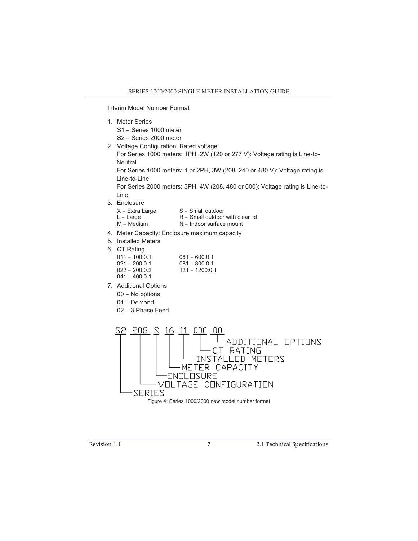#### Interim Model Number Format

- 1. Meter Series
	- S1 Series 1000 meter
	- S2 Series 2000 meter
- 2. Voltage Configuration: Rated voltage

For Series 1000 meters; 1PH, 2W (120 or 277 V): Voltage rating is Line-to-**Neutral** 

For Series 1000 meters; 1 or 2PH, 3W (208, 240 or 480 V): Voltage rating is Line-to-Line

For Series 2000 meters; 3PH, 4W (208, 480 or 600): Voltage rating is Line-to-Line

- 3. Enclosure
	- $X -$  Extra Large  $S -$  Small outdoor
	- $L Large$   $R Small$  outdoor with clear lid
	- M Medium N Indoor surface mount
- 4. Meter Capacity: Enclosure maximum capacity
- 5. Installed Meters
- 6. CT Rating
	- 011 100:0.1 061 600:0.1 021 – 200:0.1 081 – 800:0.1<br>022 – 200:0.2 121 – 1200:0.  $121 - 1200:0.1$
	- 041 400:0.1
- 7. Additional Options
	- 00 No options
	- 01 Demand
	- 02 3 Phase Feed

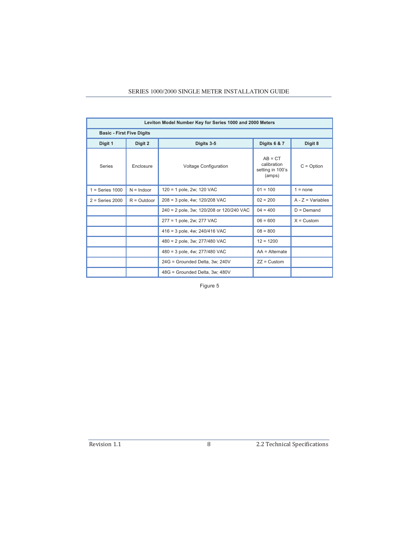| Leviton Model Number Key for Series 1000 and 2000 Meters |                                  |                                          |                                                        |                     |  |  |  |  |
|----------------------------------------------------------|----------------------------------|------------------------------------------|--------------------------------------------------------|---------------------|--|--|--|--|
|                                                          | <b>Basic - First Five Digits</b> |                                          |                                                        |                     |  |  |  |  |
| Digit 1                                                  | Digit 2                          | Digits 3-5                               | <b>Digits 6 &amp; 7</b>                                | Digit 8             |  |  |  |  |
| <b>Series</b>                                            | Enclosure                        | <b>Voltage Configuration</b>             | $AB = CT$<br>calibration<br>setting in 100's<br>(amps) | $C = Option$        |  |  |  |  |
| $1 = Series 1000$                                        | $N = Indoor$                     | 120 = 1 pole, 2w; 120 VAC                | $01 = 100$                                             | $1 = none$          |  |  |  |  |
| $2 = Series 2000$                                        | $R = Q$ utdoor                   | 208 = 3 pole, 4w; 120/208 VAC            | $02 = 200$                                             | $A - Z = Variables$ |  |  |  |  |
|                                                          |                                  | 240 = 2 pole, 3w; 120/208 or 120/240 VAC | $04 = 400$                                             | $D = Demand$        |  |  |  |  |
|                                                          |                                  | 277 = 1 pole, 2w; 277 VAC                | $06 = 600$                                             | $X =$ Custom        |  |  |  |  |
|                                                          |                                  | 416 = 3 pole, 4w; 240/416 VAC            | $08 = 800$                                             |                     |  |  |  |  |
|                                                          |                                  | 480 = 2 pole, 3w; 277/480 VAC            | $12 = 1200$                                            |                     |  |  |  |  |
|                                                          |                                  | 480 = 3 pole, 4w; 277/480 VAC            | $AA =$ Alternate                                       |                     |  |  |  |  |
|                                                          |                                  | 24G = Grounded Delta, 3w; 240V           | $ZZ =$ Custom                                          |                     |  |  |  |  |
|                                                          |                                  | 48G = Grounded Delta, 3w; 480V           |                                                        |                     |  |  |  |  |

Figure 5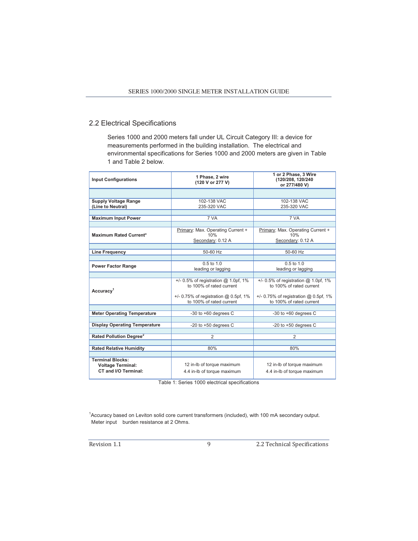#### 2.2 Electrical Specifications

Series 1000 and 2000 meters fall under UL Circuit Category III: a device for measurements performed in the building installation. The electrical and environmental specifications for Series 1000 and 2000 meters are given in Table 1 and Table 2 below.

| <b>Input Configurations</b>                                                 | 1 Phase, 2 wire<br>(120 V or 277 V)                                                                                                         | 1 or 2 Phase, 3 Wire<br>(120/208, 120/240<br>or 277/480 V)                                                                                 |
|-----------------------------------------------------------------------------|---------------------------------------------------------------------------------------------------------------------------------------------|--------------------------------------------------------------------------------------------------------------------------------------------|
|                                                                             |                                                                                                                                             |                                                                                                                                            |
| <b>Supply Voltage Range</b>                                                 | 102-138 VAC                                                                                                                                 | 102-138 VAC                                                                                                                                |
| (Line to Neutral)                                                           | 235-320 VAC                                                                                                                                 | 235-320 VAC                                                                                                                                |
| <b>Maximum Input Power</b>                                                  | 7 VA                                                                                                                                        | 7 VA                                                                                                                                       |
|                                                                             |                                                                                                                                             |                                                                                                                                            |
| <b>Maximum Rated Current*</b>                                               | Primary: Max. Operating Current +<br>10%<br>Secondary: 0.12 A                                                                               | Primary: Max. Operating Current +<br>10%<br>Secondary: 0.12 A                                                                              |
|                                                                             |                                                                                                                                             |                                                                                                                                            |
| <b>Line Frequency</b>                                                       | 50-60 Hz                                                                                                                                    | 50-60 Hz                                                                                                                                   |
| <b>Power Factor Range</b>                                                   | $0.5$ to $1.0$<br>leading or lagging                                                                                                        | $0.5$ to $1.0$<br>leading or lagging                                                                                                       |
|                                                                             |                                                                                                                                             |                                                                                                                                            |
| Accuracy <sup>1</sup>                                                       | $+/- 0.5\%$ of registration @ 1.0pf, 1%<br>to 100% of rated current<br>$+/- 0.75\%$ of registration @ 0.5pf, 1%<br>to 100% of rated current | $+/- 0.5\%$ of registration @ 1.0pf, 1%<br>to 100% of rated current<br>$+/-$ 0.75% of registration @ 0.5pf, 1%<br>to 100% of rated current |
|                                                                             |                                                                                                                                             |                                                                                                                                            |
| <b>Meter Operating Temperature</b>                                          | -30 to $+60$ degrees C                                                                                                                      | -30 to $+60$ degrees C                                                                                                                     |
| <b>Display Operating Temperature</b>                                        | -20 to $+50$ degrees C                                                                                                                      | -20 to $+50$ degrees C                                                                                                                     |
| Rated Pollution Degree <sup>2</sup>                                         | $\overline{2}$                                                                                                                              | 2                                                                                                                                          |
|                                                                             |                                                                                                                                             |                                                                                                                                            |
| <b>Rated Relative Humidity</b>                                              | 80%                                                                                                                                         | 80%                                                                                                                                        |
|                                                                             |                                                                                                                                             |                                                                                                                                            |
| <b>Terminal Blocks:</b><br><b>Voltage Terminal:</b><br>CT and I/O Terminal: | 12 in-lb of torque maximum<br>4.4 in-Ib of torque maximum                                                                                   | 12 in-lb of torque maximum<br>4.4 in-Ib of torque maximum                                                                                  |

Table 1: Series 1000 electrical specifications

1 Accuracy based on Leviton solid core current transformers (included), with 100 mA secondary output. Meter input burden resistance at 2 Ohms.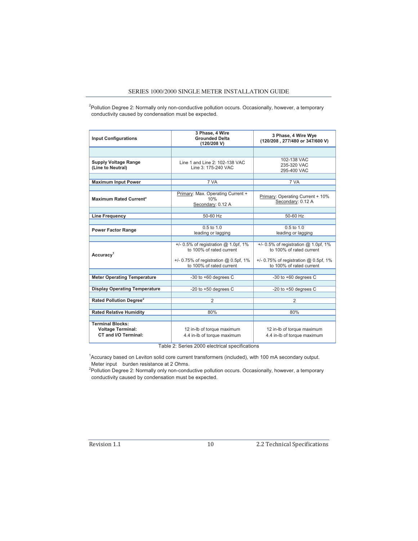<sup>2</sup>Pollution Degree 2: Normally only non-conductive pollution occurs. Occasionally, however, a temporary conductivity caused by condensation must be expected.

| <b>Input Configurations</b>                                                 | 3 Phase, 4 Wire<br><b>Grounded Delta</b><br>(120/208 V)              | 3 Phase, 4 Wire Wye<br>(120/208, 277/480 or 347/600 V)               |
|-----------------------------------------------------------------------------|----------------------------------------------------------------------|----------------------------------------------------------------------|
|                                                                             |                                                                      |                                                                      |
| <b>Supply Voltage Range</b><br>(Line to Neutral)                            | Line 1 and Line 2: 102-138 VAC<br>Line 3: 175-240 VAC                | 102-138 VAC<br>235-320 VAC<br>295-400 VAC                            |
|                                                                             |                                                                      |                                                                      |
| <b>Maximum Input Power</b>                                                  | 7 VA                                                                 | 7 VA                                                                 |
|                                                                             |                                                                      |                                                                      |
| <b>Maximum Rated Current*</b>                                               | Primary: Max. Operating Current +<br>10%<br>Secondary: 0.12 A        | Primary: Operating Current + 10%<br>Secondary: 0.12 A                |
|                                                                             |                                                                      |                                                                      |
| <b>Line Frequency</b>                                                       | 50-60 Hz                                                             | 50-60 Hz                                                             |
|                                                                             |                                                                      |                                                                      |
| <b>Power Factor Range</b>                                                   | $0.5$ to $1.0$<br>leading or lagging                                 | $0.5$ to $1.0$<br>leading or lagging                                 |
|                                                                             |                                                                      |                                                                      |
| Accuracy <sup>1</sup>                                                       | $+/- 0.5\%$ of registration @ 1.0pf, 1%<br>to 100% of rated current  | $+/-$ 0.5% of registration @ 1.0pf, 1%<br>to 100% of rated current   |
|                                                                             | $+/- 0.75\%$ of registration @ 0.5pf, 1%<br>to 100% of rated current | $+/- 0.75\%$ of registration @ 0.5pf, 1%<br>to 100% of rated current |
|                                                                             |                                                                      |                                                                      |
| <b>Meter Operating Temperature</b>                                          | -30 to $+60$ degrees C                                               | -30 to $+60$ degrees C                                               |
|                                                                             |                                                                      |                                                                      |
| <b>Display Operating Temperature</b>                                        | -20 to $+50$ degrees C                                               | -20 to $+50$ degrees C                                               |
|                                                                             | $\overline{2}$                                                       | $\overline{2}$                                                       |
| Rated Pollution Degree <sup>2</sup>                                         |                                                                      |                                                                      |
| <b>Rated Relative Humidity</b>                                              | 80%                                                                  | 80%                                                                  |
|                                                                             |                                                                      |                                                                      |
| <b>Terminal Blocks:</b><br><b>Voltage Terminal:</b><br>CT and I/O Terminal: | 12 in-lb of torque maximum<br>4.4 in-Ib of torque maximum            | 12 in-lb of torque maximum<br>4.4 in-Ib of torque maximum            |

Table 2: Series 2000 electrical specifications

1 Accuracy based on Leviton solid core current transformers (included), with 100 mA secondary output. Meter input burden resistance at 2 Ohms.

<sup>2</sup>Pollution Degree 2: Normally only non-conductive pollution occurs. Occasionally, however, a temporary conductivity caused by condensation must be expected.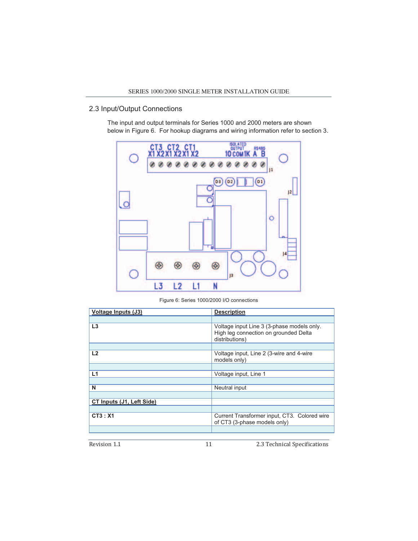#### 2.3 Input/Output Connections

The input and output terminals for Series 1000 and 2000 meters are shown below in Figure 6. For hookup diagrams and wiring information refer to section 3.



Figure 6: Series 1000/2000 I/O connections

| <b>Voltage Inputs (J3)</b> | <b>Description</b>                                                                                    |
|----------------------------|-------------------------------------------------------------------------------------------------------|
|                            |                                                                                                       |
| L3                         | Voltage input Line 3 (3-phase models only.<br>High leg connection on grounded Delta<br>distributions) |
|                            |                                                                                                       |
| L2                         | Voltage input, Line 2 (3-wire and 4-wire<br>models only)                                              |
|                            |                                                                                                       |
| L1                         | Voltage input, Line 1                                                                                 |
|                            |                                                                                                       |
| N                          | Neutral input                                                                                         |
|                            |                                                                                                       |
| CT Inputs (J1, Left Side)  |                                                                                                       |
|                            |                                                                                                       |
| CT3: X1                    | Current Transformer input, CT3. Colored wire<br>of CT3 (3-phase models only)                          |
|                            |                                                                                                       |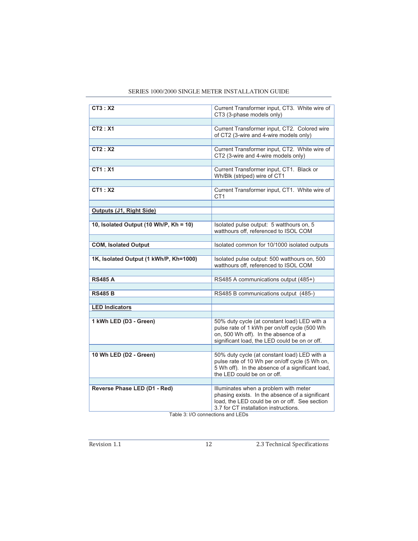| CT3:X2                                 | Current Transformer input, CT3. White wire of                                                    |
|----------------------------------------|--------------------------------------------------------------------------------------------------|
|                                        | CT3 (3-phase models only)                                                                        |
|                                        |                                                                                                  |
| CT2: X1                                | Current Transformer input, CT2. Colored wire                                                     |
|                                        | of CT2 (3-wire and 4-wire models only)                                                           |
|                                        |                                                                                                  |
| CT2:X2                                 | Current Transformer input, CT2. White wire of                                                    |
|                                        | CT2 (3-wire and 4-wire models only)                                                              |
| CT1: X1                                | Current Transformer input, CT1. Black or                                                         |
|                                        | Wh/Blk (striped) wire of CT1                                                                     |
|                                        |                                                                                                  |
| CT1:X2                                 | Current Transformer input, CT1. White wire of                                                    |
|                                        | CT <sub>1</sub>                                                                                  |
|                                        |                                                                                                  |
| Outputs (J1, Right Side)               |                                                                                                  |
|                                        |                                                                                                  |
| 10, Isolated Output (10 Wh/P, Kh = 10) | Isolated pulse output: 5 watthours on, 5                                                         |
|                                        | watthours off, referenced to ISOL COM                                                            |
|                                        |                                                                                                  |
| <b>COM, Isolated Output</b>            | Isolated common for 10/1000 isolated outputs                                                     |
| 1K, Isolated Output (1 kWh/P, Kh=1000) | Isolated pulse output: 500 watthours on, 500                                                     |
|                                        | watthours off, referenced to ISOL COM                                                            |
|                                        |                                                                                                  |
| <b>RS485 A</b>                         | RS485 A communications output (485+)                                                             |
|                                        |                                                                                                  |
| <b>RS485 B</b>                         | RS485 B communications output (485-)                                                             |
|                                        |                                                                                                  |
| <b>LED Indicators</b>                  |                                                                                                  |
|                                        |                                                                                                  |
| 1 kWh LED (D3 - Green)                 | 50% duty cycle (at constant load) LED with a                                                     |
|                                        | pulse rate of 1 kWh per on/off cycle (500 Wh<br>on, 500 Wh off). In the absence of a             |
|                                        | significant load, the LED could be on or off.                                                    |
|                                        |                                                                                                  |
| 10 Wh LED (D2 - Green)                 | 50% duty cycle (at constant load) LED with a                                                     |
|                                        | pulse rate of 10 Wh per on/off cycle (5 Wh on,                                                   |
|                                        | 5 Wh off). In the absence of a significant load,                                                 |
|                                        | the LED could be on or off.                                                                      |
|                                        |                                                                                                  |
| Reverse Phase LED (D1 - Red)           | Illuminates when a problem with meter                                                            |
|                                        | phasing exists. In the absence of a significant<br>load, the LED could be on or off. See section |
|                                        | 3.7 for CT installation instructions.                                                            |
|                                        |                                                                                                  |

Table 3: I/O connections and LEDs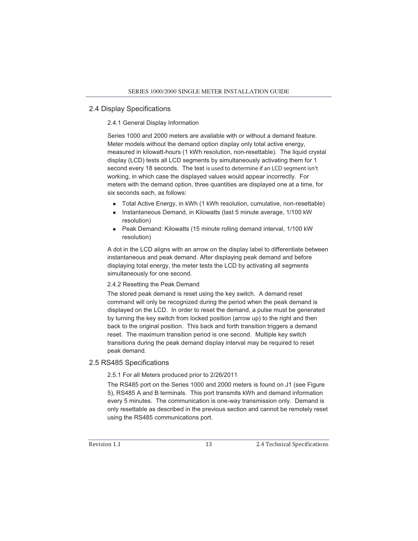#### 2.4 Display Specifications

#### 2.4.1 General Display Information

Series 1000 and 2000 meters are available with or without a demand feature. Meter models without the demand option display only total active energy, measured in kilowatt-hours (1 kWh resolution, non-resettable). The liquid crystal display (LCD) tests all LCD segments by simultaneously activating them for 1 second every 18 seconds. The test is used to determine if an LCD segment isn't working, in which case the displayed values would appear incorrectly. For meters with the demand option, three quantities are displayed one at a time, for six seconds each, as follows:

- Total Active Energy, in kWh (1 kWh resolution, cumulative, non-resettable)
- Instantaneous Demand, in Kilowatts (last 5 minute average, 1/100 kW) resolution)
- Peak Demand: Kilowatts (15 minute rolling demand interval, 1/100 kW resolution)

A dot in the LCD aligns with an arrow on the display label to differentiate between instantaneous and peak demand. After displaying peak demand and before displaying total energy, the meter tests the LCD by activating all segments simultaneously for one second.

#### 2.4.2 Resetting the Peak Demand

The stored peak demand is reset using the key switch. A demand reset command will only be recognized during the period when the peak demand is displayed on the LCD. In order to reset the demand, a pulse must be generated by turning the key switch from locked position (arrow up) to the right and then back to the original position. This back and forth transition triggers a demand reset. The maximum transition period is one second. Multiple key switch transitions during the peak demand display interval may be required to reset peak demand.

#### 2.5 RS485 Specifications

#### 2.5.1 For all Meters produced prior to 2/26/2011

The RS485 port on the Series 1000 and 2000 meters is found on J1 (see Figure 5), RS485 A and B terminals. This port transmits kWh and demand information every 5 minutes. The communication is one-way transmission only. Demand is only resettable as described in the previous section and cannot be remotely reset using the RS485 communications port.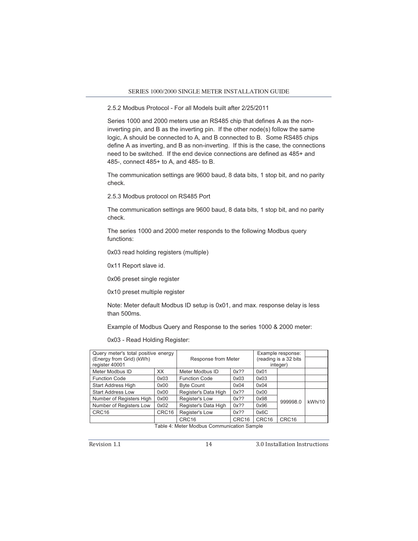#### 2.5.2 Modbus Protocol - For all Models built after 2/25/2011

Series 1000 and 2000 meters use an RS485 chip that defines A as the noninverting pin, and B as the inverting pin. If the other node(s) follow the same logic, A should be connected to A, and B connected to B. Some RS485 chips define A as inverting, and B as non-inverting. If this is the case, the connections need to be switched. If the end device connections are defined as 485+ and 485-, connect 485+ to A, and 485- to B.

The communication settings are 9600 baud, 8 data bits, 1 stop bit, and no parity check.

2.5.3 Modbus protocol on RS485 Port

The communication settings are 9600 baud, 8 data bits, 1 stop bit, and no parity check.

The series 1000 and 2000 meter responds to the following Modbus query functions:

0x03 read holding registers (multiple)

0x11 Report slave id.

0x06 preset single register

0x10 preset multiple register

Note: Meter default Modbus ID setup is 0x01, and max. response delay is less than 500ms.

Example of Modbus Query and Response to the series 1000 & 2000 meter:

0x03 - Read Holding Register:

| Query meter's total positive energy |                   |                      |                   |                       | Example response: |        |
|-------------------------------------|-------------------|----------------------|-------------------|-----------------------|-------------------|--------|
| (Energy from Grid) (kWh)            |                   | Response from Meter  |                   | (reading is a 32 bits |                   |        |
| register 40001                      |                   |                      |                   |                       | integer)          |        |
| Meter Modbus ID                     | XX                | Meter Modbus ID      | $0x$ ??           | 0x01                  |                   |        |
| <b>Function Code</b>                | 0x03              | <b>Function Code</b> | 0x03              | 0x03                  |                   |        |
| <b>Start Address High</b>           | 0x00              | <b>Byte Count</b>    | 0x04              | 0x04                  |                   |        |
| <b>Start Address Low</b>            | 0x00              | Register's Data High | $0x$ ??           | 0x00                  |                   |        |
| Number of Registers High            | 0x00              | Register's Low       | $0x$ ??           | 0x98                  | 999998.0          | kWh/10 |
| Number of Registers Low             | 0x02              | Register's Data High | $0x$ ??           | 0x96                  |                   |        |
| CRC <sub>16</sub>                   | CRC <sub>16</sub> | Register's Low       | $0x$ ??           | 0x6C                  |                   |        |
|                                     |                   | CRC <sub>16</sub>    | CRC <sub>16</sub> | CRC16                 | CRC <sub>16</sub> |        |

Table 4: Meter Modbus Communication Sample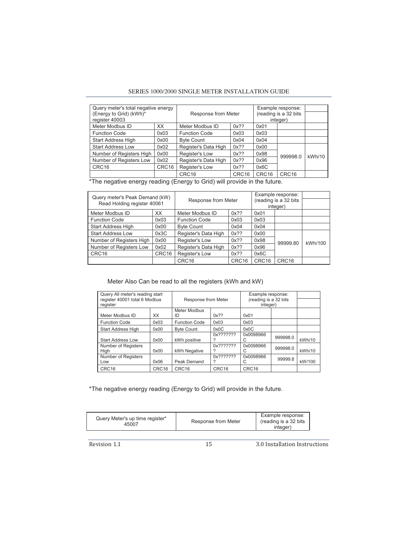#### SERIES 1000/2000 SINGLE METER INSTALLATION GUIDE

| Query meter's total negative energy<br>(Energy to Grid) (kWh)*<br>Response from Meter<br>register 40003 |                   |                      |                   | Example response:<br>(reading is a 32 bits<br>integer) |          |        |
|---------------------------------------------------------------------------------------------------------|-------------------|----------------------|-------------------|--------------------------------------------------------|----------|--------|
| Meter Modbus ID                                                                                         | XX                | Meter Modbus ID      | $0x$ ??           | 0x01                                                   |          |        |
| <b>Function Code</b>                                                                                    | 0x03              | <b>Function Code</b> | 0x03              | 0x03                                                   |          |        |
| <b>Start Address High</b>                                                                               | 0x00              | <b>Byte Count</b>    | 0x04              | 0x04                                                   |          |        |
| <b>Start Address Low</b>                                                                                | 0x02              | Register's Data High | $0x$ ??           | 0x00                                                   |          |        |
| Number of Registers High                                                                                | 0x00              | Register's Low       | $0x$ ??           | 0x98                                                   | 999998.0 | kWh/10 |
| Number of Registers Low                                                                                 | 0x02              | Register's Data High | $0x$ ??           | 0x96                                                   |          |        |
| CRC <sub>16</sub>                                                                                       | CRC <sub>16</sub> | Register's Low       | $0x$ ??           | 0x6C                                                   |          |        |
|                                                                                                         |                   | CRC <sub>16</sub>    | CRC <sub>16</sub> | CRC <sub>16</sub>                                      | CRC16    |        |

\*The negative energy reading (Energy to Grid) will provide in the future.

| Query meter's Peak Demand (kW)<br>Read Holding register 40061 |       | Response from Meter  |                   |       | Example response:<br>(reading is a 32 bits)<br>integer) |         |
|---------------------------------------------------------------|-------|----------------------|-------------------|-------|---------------------------------------------------------|---------|
| Meter Modbus ID                                               | XX.   | Meter Modbus ID      | $0x$ ??           | 0x01  |                                                         |         |
| <b>Function Code</b>                                          | 0x03  | <b>Function Code</b> | 0x03              | 0x03  |                                                         |         |
| <b>Start Address High</b>                                     | 0x00  | <b>Byte Count</b>    | 0x04              | 0x04  |                                                         |         |
| <b>Start Address Low</b>                                      | 0x3C  | Register's Data High | $0x$ ??           | 0x00  |                                                         |         |
| Number of Registers High                                      | 0x00  | Register's Low       | $0x$ ??           | 0x98  | 99999.80                                                | kWh/100 |
| Number of Registers Low                                       | 0x02  | Register's Data High | $0x$ ??           | 0x96  |                                                         |         |
| CRC <sub>16</sub>                                             | CRC16 | Register's Low       | $0x$ ??           | 0x6C  |                                                         |         |
|                                                               |       | CRC <sub>16</sub>    | CRC <sub>16</sub> | CRC16 | CRC <sub>16</sub>                                       |         |

Meter Also Can be read to all the registers (kWh and kW)

| Query All meter's reading start |                   |                      |                   | Example response:     |          |        |
|---------------------------------|-------------------|----------------------|-------------------|-----------------------|----------|--------|
| register 40001 total 6 Modbus   |                   | Response from Meter  |                   | (reading is a 32 bits |          |        |
| register                        |                   |                      |                   | integer)              |          |        |
|                                 |                   | Meter Modbus         |                   |                       |          |        |
| Meter Modbus ID                 | XX                | ID                   | $0x$ ??           | 0x01                  |          |        |
| <b>Function Code</b>            | 0x03              | <b>Function Code</b> | 0x03              | 0x03                  |          |        |
| <b>Start Address High</b>       | 0x00              | <b>Byte Count</b>    | 0x0C              | 0x0C                  |          |        |
|                                 |                   |                      | 0x???????         | 0x0098966             | 999998.0 |        |
| <b>Start Address Low</b>        | 0x00              | kWh positive         |                   | С                     |          | kWh/10 |
| Number of Registers             |                   |                      | 0x???????         | 0x0098966             | 999998.0 |        |
| High                            | 0x00              | kWh Negative         |                   | C                     |          | kWh/10 |
| Number of Registers             |                   |                      | 0x???????         | 0x0098966             | 99999.8  |        |
| Low                             | 0x06              | Peak Demand          | 7                 | С                     |          | kW/100 |
| CRC <sub>16</sub>               | CRC <sub>16</sub> | CRC <sub>16</sub>    | CRC <sub>16</sub> | CRC <sub>16</sub>     |          |        |

\*The negative energy reading (Energy to Grid) will provide in the future.

| Query Meter's up time register*<br>45007 | Response from Meter | Example response:<br>(reading is a 32 bits)<br>integer) |
|------------------------------------------|---------------------|---------------------------------------------------------|
|------------------------------------------|---------------------|---------------------------------------------------------|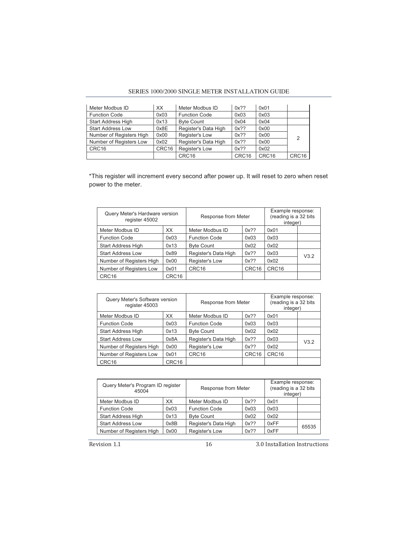#### SERIES 1000/2000 SINGLE METER INSTALLATION GUIDE

| Meter Modbus ID          | XX    | Meter Modbus ID      | $0x$ ?? | 0x01              |       |
|--------------------------|-------|----------------------|---------|-------------------|-------|
| <b>Function Code</b>     | 0x03  | <b>Function Code</b> | 0x03    | 0x03              |       |
| Start Address High       | 0x13  | <b>Byte Count</b>    | 0x04    | 0x04              |       |
| <b>Start Address Low</b> | 0x8E  | Register's Data High | $0x$ ?? | 0x00              |       |
| Number of Registers High | 0x00  | Register's Low       | $0x$ ?? | 0x00              | 2     |
| Number of Registers Low  | 0x02  | Register's Data High | $0x$ ?? | 0x00              |       |
| CRC16                    | CRC16 | Register's Low       | $0x$ ?? | 0x02              |       |
|                          |       | CRC <sub>16</sub>    | CRC16   | CRC <sub>16</sub> | CRC16 |

\*This register will increment every second after power up. It will reset to zero when reset power to the meter.

| Query Meter's Hardware version<br>register 45002 |       | Response from Meter  |         | Example response:<br>(reading is a 32 bits<br>integer) |      |
|--------------------------------------------------|-------|----------------------|---------|--------------------------------------------------------|------|
| Meter Modbus ID                                  | XX    | Meter Modbus ID      | $0x$ ?? | 0x01                                                   |      |
| <b>Function Code</b>                             | 0x03  | <b>Function Code</b> | 0x03    | 0x03                                                   |      |
| <b>Start Address High</b>                        | 0x13  | <b>Byte Count</b>    | 0x02    | 0x02                                                   |      |
| <b>Start Address Low</b>                         | 0x89  | Register's Data High | $0x$ ?? | 0x03                                                   | V3.2 |
| Number of Registers High                         | 0x00  | Register's Low       | $0x$ ?? | 0x02                                                   |      |
| Number of Registers Low                          | 0x01  | CRC <sub>16</sub>    | CRC16   | CRC <sub>16</sub>                                      |      |
| CRC <sub>16</sub>                                | CRC16 |                      |         |                                                        |      |

| Query Meter's Software version<br>register 45003 |                   | Response from Meter  |                   | Example response:<br>(reading is a 32 bits<br>integer) |      |
|--------------------------------------------------|-------------------|----------------------|-------------------|--------------------------------------------------------|------|
| Meter Modbus ID                                  | XX                | Meter Modbus ID      | $0x$ ??           | 0x01                                                   |      |
| <b>Function Code</b>                             | 0x03              | <b>Function Code</b> | 0x03              | 0x03                                                   |      |
| <b>Start Address High</b>                        | 0x13              | <b>Byte Count</b>    | 0x02              | 0x02                                                   |      |
| <b>Start Address Low</b>                         | 0x8A              | Register's Data High | $0x$ ??           | 0x03                                                   | V3.2 |
| Number of Registers High                         | 0x00              | Register's Low       | $0x$ ??           | 0x02                                                   |      |
| Number of Registers Low                          | 0x01              | CRC <sub>16</sub>    | CRC <sub>16</sub> | CRC <sub>16</sub>                                      |      |
| CRC <sub>16</sub>                                | CRC <sub>16</sub> |                      |                   |                                                        |      |

| Query Meter's Program ID register<br>45004 |      | Response from Meter  |         | Example response:<br>(reading is a 32 bits<br>integer) |       |
|--------------------------------------------|------|----------------------|---------|--------------------------------------------------------|-------|
| Meter Modbus ID                            | XX   | Meter Modbus ID      | $0x$ ?? | 0x01                                                   |       |
| <b>Function Code</b>                       | 0x03 | <b>Function Code</b> | 0x03    | 0x03                                                   |       |
| <b>Start Address High</b>                  | 0x13 | <b>Byte Count</b>    | 0x02    | 0x02                                                   |       |
| <b>Start Address Low</b>                   | 0x8B | Register's Data High | $0x$ ?? | 0xFF                                                   | 65535 |
| Number of Registers High                   | 0x00 | Register's Low       | $0x$ ?? | 0xFF                                                   |       |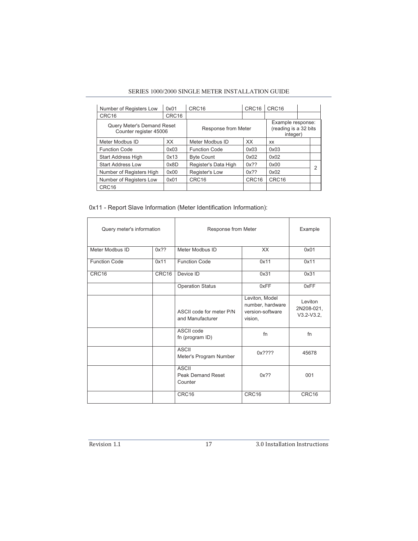#### SERIES 1000/2000 SINGLE METER INSTALLATION GUIDE

| Number of Registers Low                                     | 0x01  | CRC <sub>16</sub>    | CRC <sub>16</sub> | CRC <sub>16</sub>                                      |  |  |
|-------------------------------------------------------------|-------|----------------------|-------------------|--------------------------------------------------------|--|--|
| CRC <sub>16</sub>                                           | CRC16 |                      |                   |                                                        |  |  |
| <b>Query Meter's Demand Reset</b><br>Counter register 45006 |       | Response from Meter  |                   | Example response:<br>(reading is a 32 bits<br>integer) |  |  |
| Meter Modbus ID                                             | XX    | Meter Modbus ID      | <b>XX</b>         | <b>XX</b>                                              |  |  |
| <b>Function Code</b>                                        | 0x03  | <b>Function Code</b> | 0x03              | 0x03                                                   |  |  |
| <b>Start Address High</b>                                   | 0x13  | <b>Byte Count</b>    | 0x02              | 0x02                                                   |  |  |
| <b>Start Address Low</b>                                    | 0x8D  | Register's Data High | $0x$ ??           | 0x00                                                   |  |  |
| Number of Registers High                                    | 0x00  | Register's Low       | $0x$ ??           | 0x02                                                   |  |  |
| Number of Registers Low                                     | 0x01  | CRC <sub>16</sub>    | CRC <sub>16</sub> | CRC <sub>16</sub>                                      |  |  |
| CRC16                                                       |       |                      |                   |                                                        |  |  |

#### 0x11 - Report Slave Information (Meter Identification Information):

| Query meter's information |         | Response from Meter                                 | Example                                                           |                                       |
|---------------------------|---------|-----------------------------------------------------|-------------------------------------------------------------------|---------------------------------------|
| Meter Modbus ID           | $0x$ ?? | Meter Modbus ID                                     | XX                                                                | 0x01                                  |
| <b>Function Code</b>      | 0x11    | <b>Function Code</b>                                | 0x11                                                              | 0x11                                  |
| CRC16                     | CRC16   | Device ID                                           | 0x31                                                              | 0x31                                  |
|                           |         | <b>Operation Status</b>                             | 0xFF                                                              | 0xFF                                  |
|                           |         | ASCII code for meter P/N<br>and Manufacturer        | Leviton, Model<br>number, hardware<br>version-software<br>vision, | Leviton<br>2N208-021,<br>$V3.2-V3.2,$ |
|                           |         | ASCII code<br>fn (program ID)                       | fn                                                                | fn                                    |
|                           |         | <b>ASCII</b><br>Meter's Program Number              | $0x$ ????                                                         | 45678                                 |
|                           |         | <b>ASCII</b><br><b>Peak Demand Reset</b><br>Counter | $0x$ ??                                                           | 001                                   |
|                           |         | CRC16                                               | CRC16                                                             | CRC16                                 |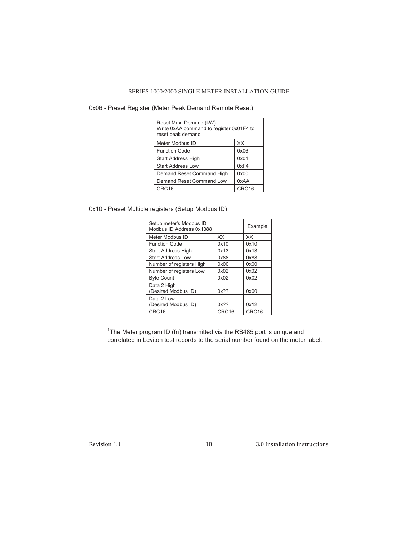#### 0x06 - Preset Register (Meter Peak Demand Remote Reset)

| Reset Max. Demand (kW)<br>Write 0xAA command to register 0x01F4 to<br>reset peak demand |       |  |  |
|-----------------------------------------------------------------------------------------|-------|--|--|
| Meter Modbus ID                                                                         | XX    |  |  |
| <b>Function Code</b>                                                                    | 0x06  |  |  |
| <b>Start Address High</b>                                                               | 0x01  |  |  |
| <b>Start Address Low</b>                                                                | 0xF4  |  |  |
| Demand Reset Command High                                                               | 0x00  |  |  |
| Demand Reset Command Low                                                                | 0xAA  |  |  |
| CRC16                                                                                   | CRC16 |  |  |

0x10 - Preset Multiple registers (Setup Modbus ID)

| Setup meter's Modbus ID<br>Modbus ID Address 0x1388 | Example           |       |
|-----------------------------------------------------|-------------------|-------|
| Meter Modbus ID                                     | XX                | XX    |
| <b>Function Code</b>                                | 0x10              | 0x10  |
| <b>Start Address High</b>                           | 0x13              | 0x13  |
| <b>Start Address Low</b>                            | 0x88              | 0x88  |
| Number of registers High                            | 0x00              | 0x00  |
| Number of registers Low                             | 0x02              | 0x02  |
| <b>Byte Count</b>                                   | 0x02              | 0x02  |
| Data 2 High<br>(Desired Modbus ID)                  | $0x$ ??           | 0x00  |
| Data 2 Low<br>(Desired Modbus ID)                   | $0x$ ??           | 0x12  |
| CRC16                                               | CRC <sub>16</sub> | CRC16 |

<sup>1</sup>The Meter program ID (fn) transmitted via the RS485 port is unique and correlated in Leviton test records to the serial number found on the meter label.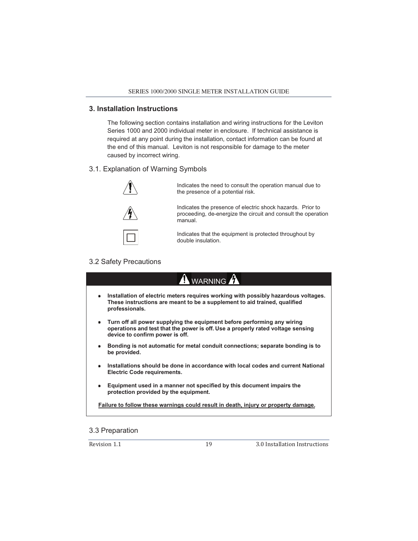#### **3. Installation Instructions**

The following section contains installation and wiring instructions for the Leviton Series 1000 and 2000 individual meter in enclosure. If technical assistance is required at any point during the installation, contact information can be found at the end of this manual. Leviton is not responsible for damage to the meter caused by incorrect wiring.

#### 3.1. Explanation of Warning Symbols



Indicates the need to consult the operation manual due to the presence of a potential risk.



Indicates the presence of electric shock hazards. Prior to proceeding, de-energize the circuit and consult the operation manual.

Indicates that the equipment is protected throughout by double insulation.

#### 3.2 Safety Precautions

| WARNING                                                                                                                                                                                       |  |  |  |  |  |
|-----------------------------------------------------------------------------------------------------------------------------------------------------------------------------------------------|--|--|--|--|--|
| Installation of electric meters requires working with possibly hazardous voltages.<br>٠<br>These instructions are meant to be a supplement to aid trained, qualified<br>professionals.        |  |  |  |  |  |
| Turn off all power supplying the equipment before performing any wiring<br>operations and test that the power is off. Use a properly rated voltage sensing<br>device to confirm power is off. |  |  |  |  |  |
| Bonding is not automatic for metal conduit connections; separate bonding is to<br>٠<br>be provided.                                                                                           |  |  |  |  |  |
| Installations should be done in accordance with local codes and current National<br>٠<br>Electric Code requirements.                                                                          |  |  |  |  |  |
| Equipment used in a manner not specified by this document impairs the<br>٠<br>protection provided by the equipment.                                                                           |  |  |  |  |  |
| <b>Failure to follow these warnings could result in death, injury or property damage.</b>                                                                                                     |  |  |  |  |  |
| .<br>$\sim$ $\sim$ $\sim$                                                                                                                                                                     |  |  |  |  |  |

#### 3.3 Preparation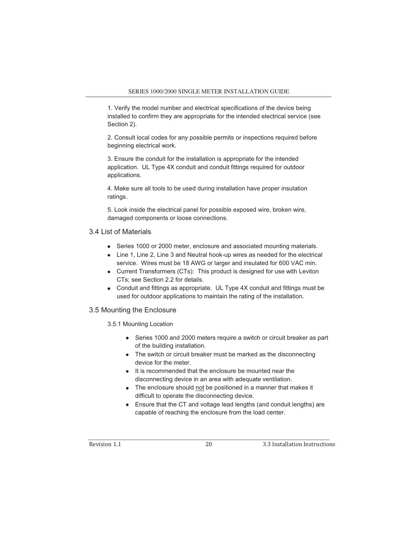1. Verify the model number and electrical specifications of the device being installed to confirm they are appropriate for the intended electrical service (see Section 2).

2. Consult local codes for any possible permits or inspections required before beginning electrical work.

3. Ensure the conduit for the installation is appropriate for the intended application. UL Type 4X conduit and conduit fittings required for outdoor applications.

4. Make sure all tools to be used during installation have proper insulation ratings.

5. Look inside the electrical panel for possible exposed wire, broken wire, damaged components or loose connections.

#### 3.4 List of Materials

- Series 1000 or 2000 meter, enclosure and associated mounting materials.
- Line 1, Line 2, Line 3 and Neutral hook-up wires as needed for the electrical service. Wires must be 18 AWG or larger and insulated for 600 VAC min.
- Current Transformers (CTs): This product is designed for use with Leviton CTs; see Section 2.2 for details.
- Conduit and fittings as appropriate. UL Type 4X conduit and fittings must be used for outdoor applications to maintain the rating of the installation.

#### 3.5 Mounting the Enclosure

3.5.1 Mounting Location

- Series 1000 and 2000 meters require a switch or circuit breaker as part of the building installation.
- The switch or circuit breaker must be marked as the disconnecting device for the meter.
- It is recommended that the enclosure be mounted near the disconnecting device in an area with adequate ventilation.
- The enclosure should not be positioned in a manner that makes it difficult to operate the disconnecting device.
- Ensure that the CT and voltage lead lengths (and conduit lengths) are capable of reaching the enclosure from the load center.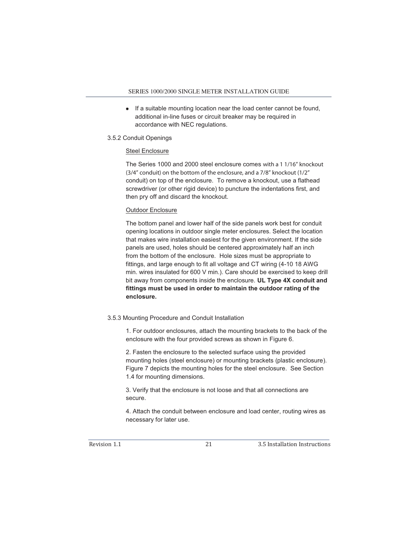If a suitable mounting location near the load center cannot be found, additional in-line fuses or circuit breaker may be required in accordance with NEC regulations.

#### 3.5.2 Conduit Openings

#### Steel Enclosure

The Series 1000 and 2000 steel enclosure comes with a 1 1/16" knockout (3/4" conduit) on the bottom of the enclosure, and a 7/8" knockout (1/2" conduit) on top of the enclosure. To remove a knockout, use a flathead screwdriver (or other rigid device) to puncture the indentations first, and then pry off and discard the knockout.

#### Outdoor Enclosure

The bottom panel and lower half of the side panels work best for conduit opening locations in outdoor single meter enclosures. Select the location that makes wire installation easiest for the given environment. If the side panels are used, holes should be centered approximately half an inch from the bottom of the enclosure. Hole sizes must be appropriate to fittings, and large enough to fit all voltage and CT wiring (4-10 18 AWG min. wires insulated for 600 V min.). Care should be exercised to keep drill bit away from components inside the enclosure. **UL Type 4X conduit and fittings must be used in order to maintain the outdoor rating of the enclosure.**

#### 3.5.3 Mounting Procedure and Conduit Installation

1. For outdoor enclosures, attach the mounting brackets to the back of the enclosure with the four provided screws as shown in Figure 6.

2. Fasten the enclosure to the selected surface using the provided mounting holes (steel enclosure) or mounting brackets (plastic enclosure). Figure 7 depicts the mounting holes for the steel enclosure. See Section 1.4 for mounting dimensions.

3. Verify that the enclosure is not loose and that all connections are secure.

4. Attach the conduit between enclosure and load center, routing wires as necessary for later use.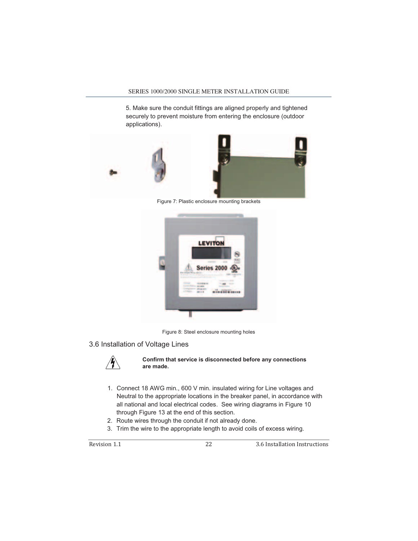5. Make sure the conduit fittings are aligned properly and tightened securely to prevent moisture from entering the enclosure (outdoor applications).





Figure 7: Plastic enclosure mounting brackets



Figure 8: Steel enclosure mounting holes

#### 3.6 Installation of Voltage Lines



#### **Confirm that service is disconnected before any connections are made.**

- 1. Connect 18 AWG min., 600 V min. insulated wiring for Line voltages and Neutral to the appropriate locations in the breaker panel, in accordance with all national and local electrical codes. See wiring diagrams in Figure 10 through Figure 13 at the end of this section.
- 2. Route wires through the conduit if not already done.
- 3. Trim the wire to the appropriate length to avoid coils of excess wiring.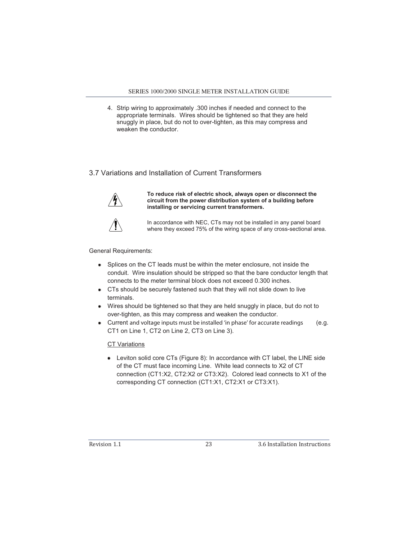4. Strip wiring to approximately .300 inches if needed and connect to the appropriate terminals. Wires should be tightened so that they are held snuggly in place, but do not to over-tighten, as this may compress and weaken the conductor.

#### 3.7 Variations and Installation of Current Transformers



**To reduce risk of electric shock, always open or disconnect the circuit from the power distribution system of a building before installing or servicing current transformers.** 



In accordance with NEC, CTs may not be installed in any panel board where they exceed 75% of the wiring space of any cross-sectional area.

General Requirements:

- Splices on the CT leads must be within the meter enclosure, not inside the conduit. Wire insulation should be stripped so that the bare conductor length that connects to the meter terminal block does not exceed 0.300 inches.
- CTs should be securely fastened such that they will not slide down to live terminals.
- Wires should be tightened so that they are held snuggly in place, but do not to over-tighten, as this may compress and weaken the conductor.
- Current and voltage inputs must be installed 'in phase' for accurate readings (e.g. CT1 on Line 1, CT2 on Line 2, CT3 on Line 3).

#### CT Variations

 Leviton solid core CTs (Figure 8): In accordance with CT label, the LINE side of the CT must face incoming Line. White lead connects to X2 of CT connection (CT1:X2, CT2:X2 or CT3:X2). Colored lead connects to X1 of the corresponding CT connection (CT1:X1, CT2:X1 or CT3:X1).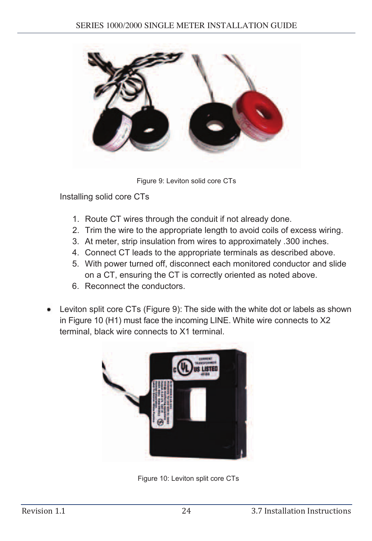

Figure 9: Leviton solid core CTs

Installing solid core CTs

- 1. Route CT wires through the conduit if not already done.
- 2. Trim the wire to the appropriate length to avoid coils of excess wiring.
- 3. At meter, strip insulation from wires to approximately .300 inches.
- 4. Connect CT leads to the appropriate terminals as described above.
- 5. With power turned off, disconnect each monitored conductor and slide on a CT, ensuring the CT is correctly oriented as noted above.
- 6. Reconnect the conductors.
- Leviton split core CTs (Figure 9): The side with the white dot or labels as shown in Figure 10 (H1) must face the incoming LINE. White wire connects to X2 terminal, black wire connects to X1 terminal.



Figure 10: Leviton split core CTs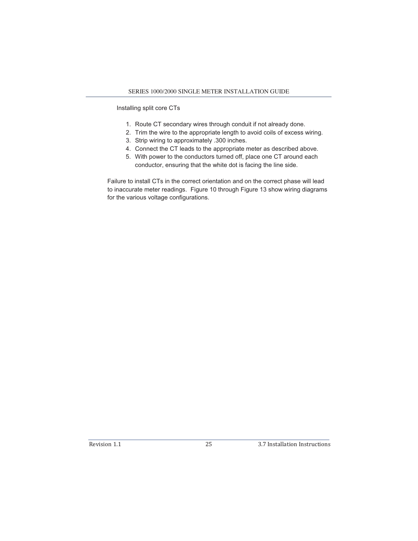Installing split core CTs

- 1. Route CT secondary wires through conduit if not already done.
- 2. Trim the wire to the appropriate length to avoid coils of excess wiring.
- 3. Strip wiring to approximately .300 inches.
- 4. Connect the CT leads to the appropriate meter as described above.
- 5. With power to the conductors turned off, place one CT around each conductor, ensuring that the white dot is facing the line side.

Failure to install CTs in the correct orientation and on the correct phase will lead to inaccurate meter readings. Figure 10 through Figure 13 show wiring diagrams for the various voltage configurations.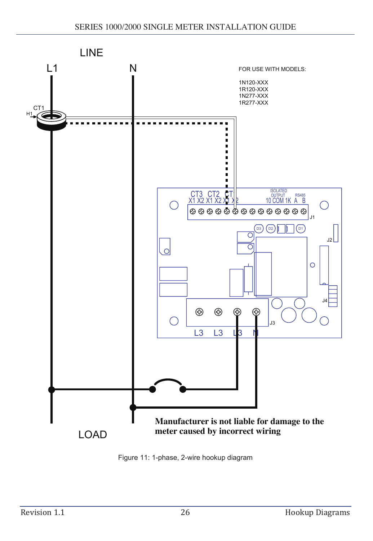

Figure 11: 1-phase, 2-wire hookup diagram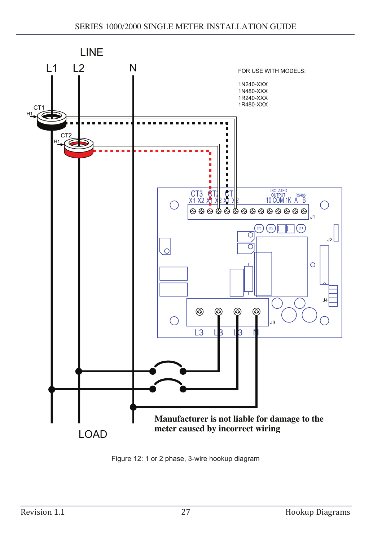

Figure 12: 1 or 2 phase, 3-wire hookup diagram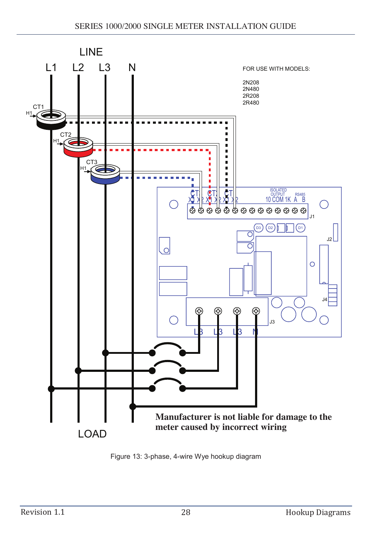

Figure 13: 3-phase, 4-wire Wye hookup diagram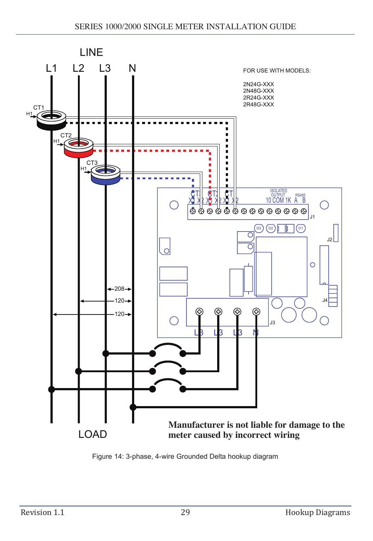

Figure 14: 3-phase, 4-wire Grounded Delta hookup diagram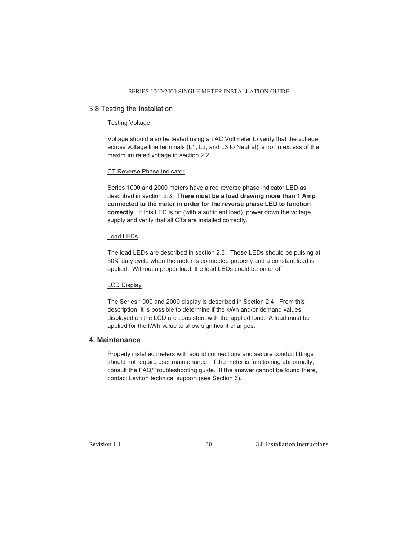#### 3.8 Testing the Installation

#### Testing Voltage

Voltage should also be tested using an AC Voltmeter to verify that the voltage across voltage line terminals (L1, L2, and L3 to Neutral) is not in excess of the maximum rated voltage in section 2.2.

#### CT Reverse Phase Indicator

Series 1000 and 2000 meters have a red reverse phase indicator LED as described in section 2.3. **There must be a load drawing more than 1 Amp connected to the meter in order for the reverse phase LED to function correctly**. If this LED is on (with a sufficient load), power down the voltage supply and verify that all CTs are installed correctly.

#### Load LEDs

The load LEDs are described in section 2.3. These LEDs should be pulsing at 50% duty cycle when the meter is connected properly and a constant load is applied. Without a proper load, the load LEDs could be on or off.

#### LCD Display

The Series 1000 and 2000 display is described in Section 2.4. From this description, it is possible to determine if the kWh and/or demand values displayed on the LCD are consistent with the applied load. A load must be applied for the kWh value to show significant changes.

#### **4. Maintenance**

Properly installed meters with sound connections and secure conduit fittings should not require user maintenance. If the meter is functioning abnormally, consult the FAQ/Troubleshooting guide. If the answer cannot be found there, contact Leviton technical support (see Section 6).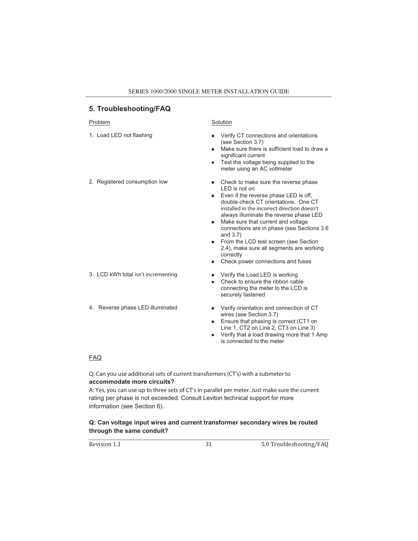#### **5. Troubleshooting/FAQ**

#### Problem Solution

- 
- 

- 3. LCD kWh total isn't incrementing Verify the Load LED is working
- 

- 1. Load LED not flashing **Verify CT** connections and orientations (see Section 3.7)
	- Make sure there is sufficient load to draw a significant current
	- Test the voltage being supplied to the meter using an AC voltmeter
- 2. Registered consumption low **Check to make sure the reverse phase** LED is not on
	- **Even if the reverse phase LED is off,** double-check CT orientations. One CT installed in the incorrect direction doesn't always illuminate the reverse phase LED
	- Make sure that current and voltage connections are in phase (see Sections 3.6 and 3.7)
	- **From the LCD test screen (see Section** 2.4), make sure all segments are working correctly
	- Check power connections and fuses
	-
	- Check to ensure the ribbon cable connecting the meter to the LCD is securely fastened
- 4. Reverse phase LED illuminated Verify orientation and connection of CT wires (see Section 3.7)
	- **Ensure that phasing is correct (CT1 on** Line 1, CT2 on Line 2, CT3 on Line 3)
	- Verify that a load drawing more that 1 Amp is connected to the meter

#### FAQ

**Q: Can you use additional sets of current transformers (CT's) with a submeter to accommodate more circuits?** 

A: Yes, you can use up to three sets of CT's in parallel per meter. Just make sure the current rating per phase is not exceeded. Consult Leviton technical support for more information (see Section 6).

#### **Q: Can voltage input wires and current transformer secondary wires be routed through the same conduit?**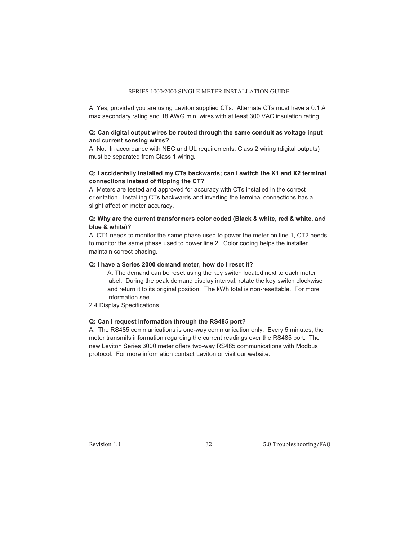A: Yes, provided you are using Leviton supplied CTs. Alternate CTs must have a 0.1 A max secondary rating and 18 AWG min. wires with at least 300 VAC insulation rating.

#### **Q: Can digital output wires be routed through the same conduit as voltage input and current sensing wires?**

A: No. In accordance with NEC and UL requirements, Class 2 wiring (digital outputs) must be separated from Class 1 wiring.

#### **Q: I accidentally installed my CTs backwards; can I switch the X1 and X2 terminal connections instead of flipping the CT?**

A: Meters are tested and approved for accuracy with CTs installed in the correct orientation. Installing CTs backwards and inverting the terminal connections has a slight affect on meter accuracy.

#### **Q: Why are the current transformers color coded (Black & white, red & white, and blue & white)?**

A: CT1 needs to monitor the same phase used to power the meter on line 1, CT2 needs to monitor the same phase used to power line 2. Color coding helps the installer maintain correct phasing.

#### **Q: I have a Series 2000 demand meter, how do I reset it?**

A: The demand can be reset using the key switch located next to each meter label. During the peak demand display interval, rotate the key switch clockwise and return it to its original position. The kWh total is non-resettable. For more information see

2.4 Display Specifications.

#### **Q: Can I request information through the RS485 port?**

A: The RS485 communications is one-way communication only. Every 5 minutes, the meter transmits information regarding the current readings over the RS485 port. The new Leviton Series 3000 meter offers two-way RS485 communications with Modbus protocol. For more information contact Leviton or visit our website.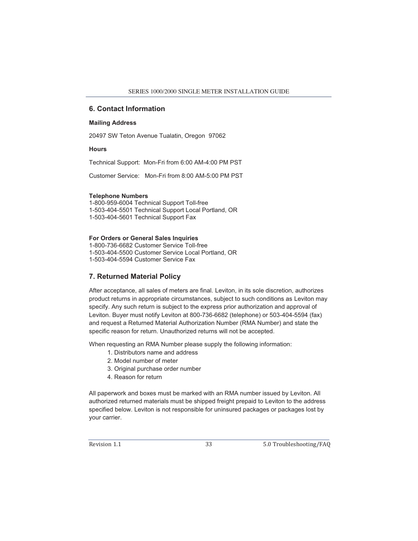#### **6. Contact Information**

#### **Mailing Address**

20497 SW Teton Avenue Tualatin, Oregon 97062

#### **Hours**

Technical Support: Mon-Fri from 6:00 AM-4:00 PM PST

Customer Service: Mon-Fri from 8:00 AM-5:00 PM PST

#### **Telephone Numbers**

1-800-959-6004 Technical Support Toll-free 1-503-404-5501 Technical Support Local Portland, OR 1-503-404-5601 Technical Support Fax

#### **For Orders or General Sales Inquiries**

1-800-736-6682 Customer Service Toll-free 1-503-404-5500 Customer Service Local Portland, OR 1-503-404-5594 Customer Service Fax

#### **7. Returned Material Policy**

After acceptance, all sales of meters are final. Leviton, in its sole discretion, authorizes product returns in appropriate circumstances, subject to such conditions as Leviton may specify. Any such return is subject to the express prior authorization and approval of Leviton. Buyer must notify Leviton at 800-736-6682 (telephone) or 503-404-5594 (fax) and request a Returned Material Authorization Number (RMA Number) and state the specific reason for return. Unauthorized returns will not be accepted.

When requesting an RMA Number please supply the following information:

- 1. Distributors name and address
- 2. Model number of meter
- 3. Original purchase order number
- 4. Reason for return

All paperwork and boxes must be marked with an RMA number issued by Leviton. All authorized returned materials must be shipped freight prepaid to Leviton to the address specified below. Leviton is not responsible for uninsured packages or packages lost by your carrier.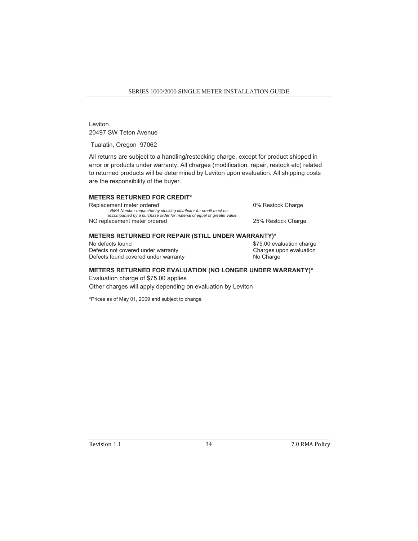Leviton 20497 SW Teton Avenue

Tualatin, Oregon 97062

All returns are subject to a handling/restocking charge, except for product shipped in error or products under warranty. All charges (modification, repair, restock etc) related to returned products will be determined by Leviton upon evaluation. All shipping costs are the responsibility of the buyer.

#### **METERS RETURNED FOR CREDIT\***

Replacement meter ordered  $\cdot$  RMA Number requested by stocking distributor for credit must be *accompanied by a purchase order for material of equal or greater value.*  NO replacement meter ordered 25% Restock Charge

0% Restock Charge

#### **METERS RETURNED FOR REPAIR (STILL UNDER WARRANTY)\***

No defects found  $$75.00$  evaluation charge Defects not covered under warranty<br>
Defects found covered under warranty<br>
Defects found covered under warranty<br>
Charge Defects found covered under warranty

#### **METERS RETURNED FOR EVALUATION (NO LONGER UNDER WARRANTY)\***

Evaluation charge of \$75.00 applies Other charges will apply depending on evaluation by Leviton

\*Prices as of May 01, 2009 and subject to change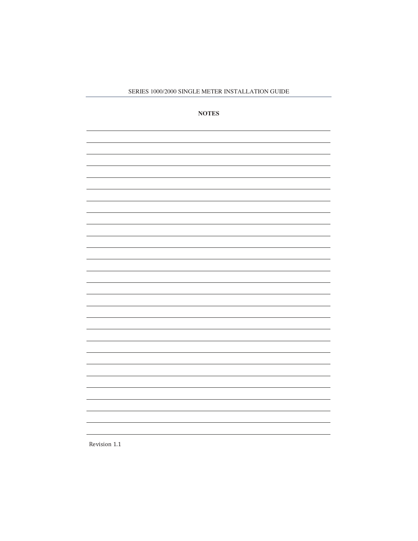**NOTES**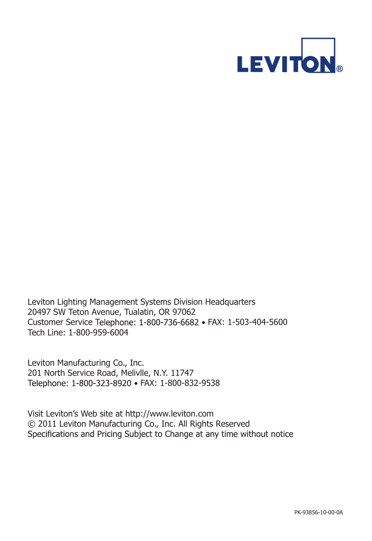

Leviton Lighting Management Systems Division Headquarters 20497 SW Teton Avenue, Tualatin, OR 97062 Customer Service Telephone: 1-800-736-6682 • FAX: 1-503-404-5600 Tech Line: 1-800-959-6004

Leviton Manufacturing Co., Inc. 201 North Service Road, Melivlle, N.Y. 11747 Telephone: 1-800-323-8920 · FAX: 1-800-832-9538

Visit Leviton's Web site at http://www.leviton.com © 2011 Leviton Manufacturing Co., Inc. All Rights Reserved Specifications and Pricing Subject to Change at any time without notice